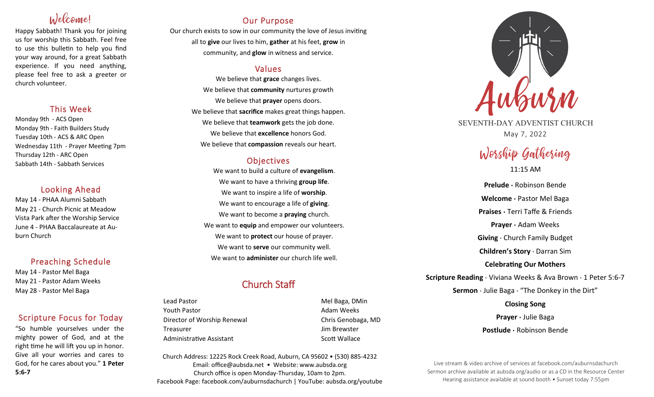# Welcome!

Happy Sabbath! Thank you for joining us for worship this Sabbath. Feel free to use this bulletin to help you find your way around, for a great Sabbath experience. If you need anything, please feel free to ask a greeter or church volunteer.

## This Week

Monday 9th - ACS Open Monday 9th - Faith Builders Study Tuesday 10th - ACS & ARC Open Wednesday 11th - Prayer Meeting 7pm Thursday 12th - ARC Open Sabbath 14th - Sabbath Services

## Looking Ahead

May 14 - PHAA Alumni Sabbath May 21 - Church Picnic at Meadow Vista Park after the Worship Service June 4 - PHAA Baccalaureate at Auburn Church

## Preaching Schedule

May 14 - Pastor Mel Baga May 21 - Pastor Adam Weeks May 28 - Pastor Mel Baga

## Scripture Focus for Today

"So humble yourselves under the mighty power of God, and at the right time he will lift you up in honor. Give all your worries and cares to God, for he cares about you." **1 Peter 5:6-7**

## Our Purpose

Our church exists to sow in our community the love of Jesus inviting all to **give** our lives to him, **gather** at his feet, **grow** in community, and **glow** in witness and service.

## Values

We believe that **grace** changes lives. We believe that **community** nurtures growth We believe that **prayer** opens doors. We believe that **sacrifice** makes great things happen. We believe that **teamwork** gets the job done. We believe that **excellence** honors God. We believe that **compassion** reveals our heart.

## **Objectives**

We want to build a culture of **evangelism**. We want to have a thriving **group life**. We want to inspire a life of **worship**. We want to encourage a life of **giving**. We want to become a **praying** church. We want to **equip** and empower our volunteers. We want to **protect** our house of prayer. We want to **serve** our community well. We want to **administer** our church life well.

## Church Staff

Lead Pastor **Mel Baga, DMin** Youth Pastor **Adam Weeks Adam Weeks** Director of Worship Renewal **Chris Genobaga**, MD Treasurer Jim Brewster Administrative Assistant National Controllery Scott Wallace

Church Address: 12225 Rock Creek Road, Auburn, CA 95602 • (530) 885-4232 Email: office@aubsda.net • Website: www.aubsda.org Church office is open Monday-Thursday, 10am to 2pm. Facebook Page: facebook.com/auburnsdachurch | YouTube: aubsda.org/youtube



SEVENTH-DAY ADVENTIST CHURCH May 7, 2022

# Worship Gathering

11:15 AM

**Prelude ·** Robinson Bende **Welcome ·** Pastor Mel Baga **Praises ·** Terri Taffe & Friends **Prayer ·** Adam Weeks **Giving** · Church Family Budget **Children's Story** · Darran Sim **Celebrating Our Mothers Scripture Reading** · Viviana Weeks & Ava Brown · 1 Peter 5:6-7 **Sermon** · Julie Baga · "The Donkey in the Dirt" **Closing Song Prayer ·** Julie Baga **Postlude ·** Robinson Bende

Live stream & video archive of services at facebook.com/auburnsdachurch Sermon archive available at aubsda.org/audio or as a CD in the Resource Center Hearing assistance available at sound booth • Sunset today 7:55pm